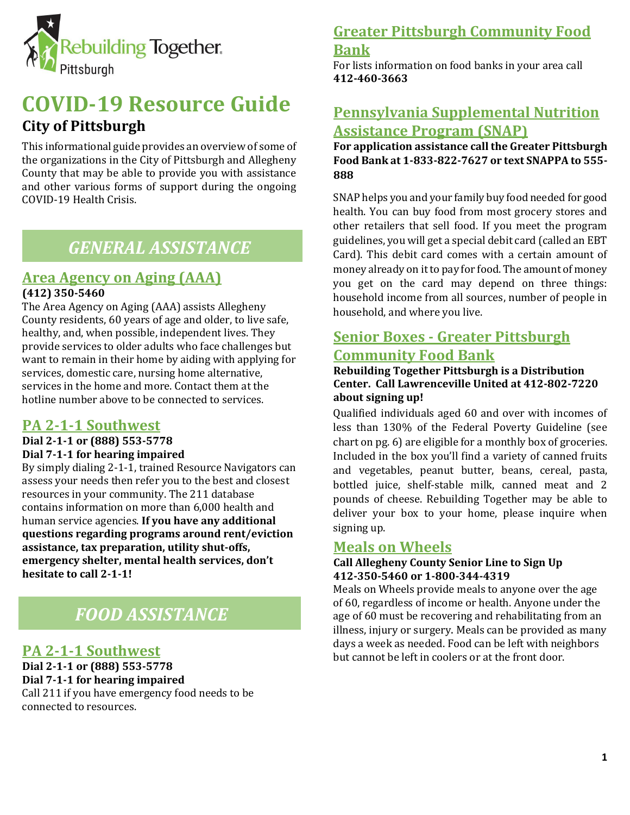

# **COVID-19 Resource Guide City of Pittsburgh**

This informational guide provides an overview of some of the organizations in the City of Pittsburgh and Allegheny County that may be able to provide you with assistance and other various forms of support during the ongoing COVID-19 Health Crisis.

# *GENERAL ASSISTANCE*

## **Area Agency on Aging (AAA)**

### **(412) 350-5460**

The Area Agency on Aging (AAA) assists Allegheny County residents, 60 years of age and older, to live safe, healthy, and, when possible, independent lives. They provide services to older adults who face challenges but want to remain in their home by aiding with applying for services, domestic care, nursing home alternative, services in the home and more. Contact them at the hotline number above to be connected to services.

## **PA 2-1-1 Southwest**

**Dial 2-1-1 or (888) 553-5778**

**Dial 7-1-1 for hearing impaired**

By simply dialing 2-1-1, trained Resource Navigators can assess your needs then refer you to the best and closest resources in your community. The 211 database contains information on more than 6,000 health and human service agencies. **If you have any additional questions regarding programs around rent/eviction assistance, tax preparation, utility shut-offs, emergency shelter, mental health services, don't hesitate to call 2-1-1!**

# *FOOD ASSISTANCE*

## **PA 2-1-1 Southwest**

**Dial 2-1-1 or (888) 553-5778 Dial 7-1-1 for hearing impaired** Call 211 if you have emergency food needs to be connected to resources.

## **Greater Pittsburgh Community Food Bank**

For lists information on food banks in your area call **412-460-3663**

# **Pennsylvania Supplemental Nutrition Assistance Program (SNAP)**

**For application assistance call the Greater Pittsburgh Food Bank at 1-833-822-7627 or text SNAPPA to 555- 888**

SNAP helps you and your family buy food needed for good health. You can buy food from most grocery stores and other retailers that sell food. If you meet the program guidelines, you will get a special debit card (called an EBT Card). This debit card comes with a certain amount of money already on it to pay for food. The amount of money you get on the card may depend on three things: household income from all sources, number of people in household, and where you live.

# **Senior Boxes - Greater Pittsburgh Community Food Bank**

### **Rebuilding Together Pittsburgh is a Distribution Center. Call Lawrenceville United at 412-802-7220 about signing up!**

Qualified individuals aged 60 and over with incomes of less than 130% of the Federal Poverty Guideline (see chart on pg. 6) are eligible for a monthly box of groceries. Included in the box you'll find a variety of canned fruits and vegetables, peanut butter, beans, cereal, pasta, bottled juice, shelf-stable milk, canned meat and 2 pounds of cheese. Rebuilding Together may be able to deliver your box to your home, please inquire when signing up.

## **Meals on Wheels**

### **Call Allegheny County Senior Line to Sign Up 412-350-5460 or 1-800-344-4319**

Meals on Wheels provide meals to anyone over the age of 60, regardless of income or health. Anyone under the age of 60 must be recovering and rehabilitating from an illness, injury or surgery. Meals can be provided as many days a week as needed. Food can be left with neighbors but cannot be left in coolers or at the front door.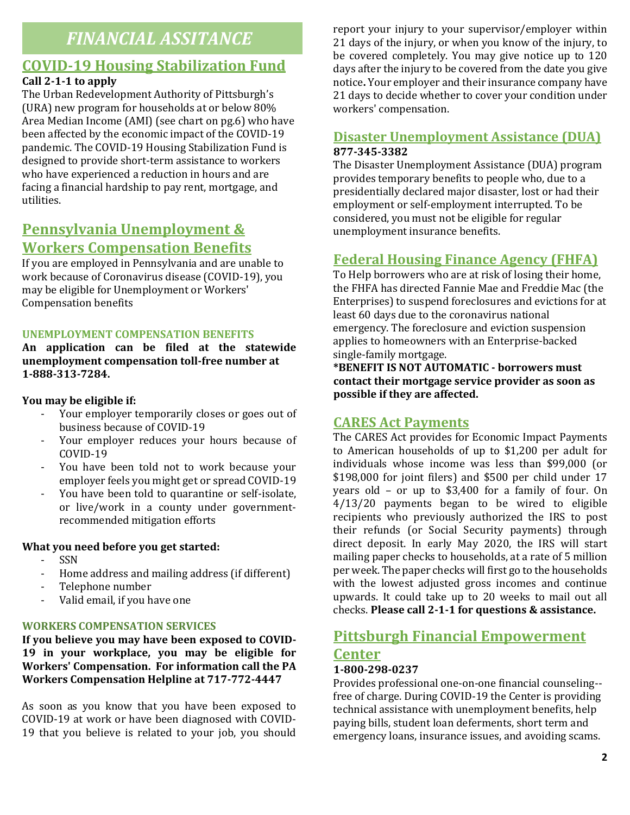# *FINANCIAL ASSITANCE*

# **COVID-19 Housing Stabilization Fund**

## **Call 2-1-1 to apply**

The Urban Redevelopment Authority of Pittsburgh's (URA) new program for households at or below 80% Area Median Income (AMI) (see chart on pg.6) who have been affected by the economic impact of the COVID-19 pandemic. The COVID-19 Housing Stabilization Fund is designed to provide short-term assistance to workers who have experienced a reduction in hours and are facing a financial hardship to pay rent, mortgage, and utilities.

# **Pennsylvania Unemployment & Workers Compensation Benefits**

If you are employed in Pennsylvania and are unable to work because of Coronavirus disease (COVID-19), you may be eligible for Unemployment or Workers' Compensation benefits

### **UNEMPLOYMENT COMPENSATION BENEFITS**

**An application can be filed at the statewide unemployment compensation toll-free number at 1-888-313-7284.**

### **You may be eligible if:**

- Your employer temporarily closes or goes out of business because of COVID-19
- Your employer reduces your hours because of COVID-19
- You have been told not to work because your employer feels you might get or spread COVID-19
- You have been told to quarantine or self-isolate, or live/work in a county under governmentrecommended mitigation efforts

### **What you need before you get started:**

- SSN
- Home address and mailing address (if different)
- Telephone number
- Valid email, if you have one

## **WORKERS COMPENSATION SERVICES**

**If you believe you may have been exposed to COVID-19 in your workplace, you may be eligible for Workers' Compensation. For information call the PA Workers Compensation Helpline at 717-772-4447**

As soon as you know that you have been exposed to COVID-19 at work or have been diagnosed with COVID-19 that you believe is related to your job, you should report your injury to your supervisor/employer within 21 days of the injury, or when you know of the injury, to be covered completely. You may give notice up to 120 days after the injury to be covered from the date you give notice**.** Your employer and their insurance company have 21 days to decide whether to cover your condition under workers' compensation.

## **Disaster Unemployment Assistance (DUA) 877-345-3382**

The Disaster Unemployment Assistance (DUA) program provides temporary benefits to people who, due to a presidentially declared major disaster, lost or had their employment or self-employment interrupted. To be considered, you must not be eligible for regular unemployment insurance benefits.

# **Federal Housing Finance Agency (FHFA)**

To Help borrowers who are at risk of losing their home, the FHFA has directed Fannie Mae and Freddie Mac (the Enterprises) to suspend foreclosures and evictions for at least 60 days due to the coronavirus national emergency. The foreclosure and eviction suspension applies to homeowners with an Enterprise-backed single-family mortgage.

**\*BENEFIT IS NOT AUTOMATIC - borrowers must contact their mortgage service provider as soon as possible if they are affected.**

## **CARES Act Payments**

The CARES Act provides for Economic Impact Payments to American households of up to \$1,200 per adult for individuals whose income was less than \$99,000 (or \$198,000 for joint filers) and \$500 per child under 17 years old – or up to \$3,400 for a family of four. On 4/13/20 payments began to be wired to eligible recipients who previously authorized the IRS to post their refunds (or Social Security payments) through direct deposit. In early May 2020, the IRS will start mailing paper checks to households, at a rate of 5 million per week. The paper checks will first go to the households with the lowest adjusted gross incomes and continue upwards. It could take up to 20 weeks to mail out all checks. **Please call 2-1-1 for questions & assistance.**

## **Pittsburgh Financial Empowerment Center 1-800-298-0237**

Provides professional one-on-one financial counseling- free of charge. During COVID-19 the Center is providing technical assistance with unemployment benefits, help paying bills, student loan deferments, short term and emergency loans, insurance issues, and avoiding scams.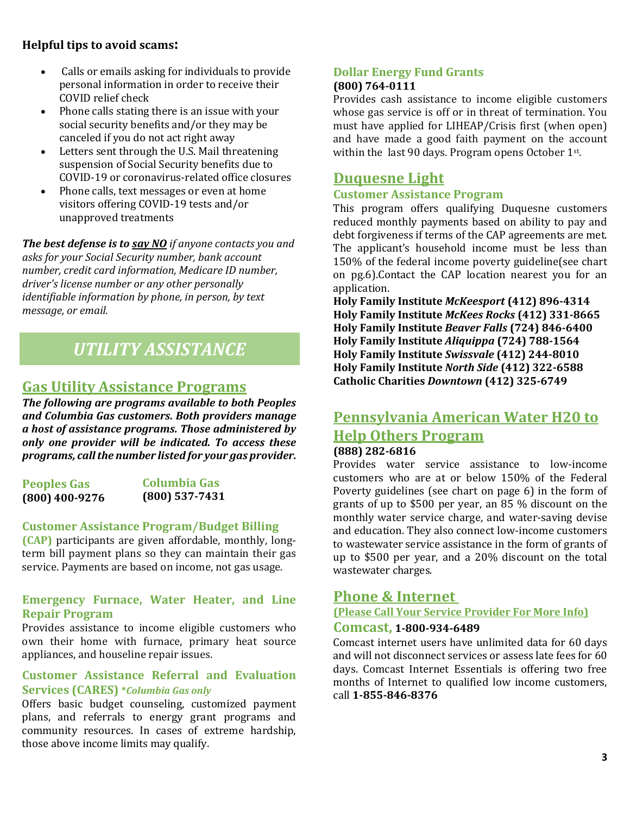## **Helpful tips to avoid scams:**

- Calls or emails asking for individuals to provide personal information in order to receive their COVID relief check
- Phone calls stating there is an issue with your social security benefits and/or they may be canceled if you do not act right away
- Letters sent through the U.S. Mail threatening suspension of Social Security benefits due to COVID-19 or coronavirus-related office closures
- Phone calls, text messages or even at home visitors offering COVID-19 tests and/or unapproved treatments

*The best defense is to say NO if anyone contacts you and asks for your Social Security number, bank account number, credit card information, Medicare ID number, driver's license number or any other personally identifiable information by phone, in person, by text message, or email.*

# *UTILITY ASSISTANCE*

## **Gas Utility Assistance Programs**

*The following are programs available to both Peoples and Columbia Gas customers. Both providers manage a host of assistance programs. Those administered by only one provider will be indicated. To access these programs, call the number listed for your gas provider.*

| <b>Peoples Gas</b> | Columbia Gas     |
|--------------------|------------------|
| $(800)$ 400-9276   | $(800)$ 537-7431 |

## **Customer Assistance Program/Budget Billing**

**(CAP)** participants are given affordable, monthly, longterm bill payment plans so they can maintain their gas service. Payments are based on income, not gas usage.

### **Emergency Furnace, Water Heater, and Line Repair Program**

Provides assistance to income eligible customers who own their home with furnace, primary heat source appliances, and houseline repair issues.

### **Customer Assistance Referral and Evaluation Services (CARES) \****Columbia Gas only*

Offers basic budget counseling, customized payment plans, and referrals to energy grant programs and community resources. In cases of extreme hardship, those above income limits may qualify.

### **Dollar Energy Fund Grants (800) 764-0111**

Provides cash assistance to income eligible customers whose gas service is off or in threat of termination. You must have applied for LIHEAP/Crisis first (when open) and have made a good faith payment on the account within the last 90 days. Program opens October 1st.

# **Duquesne Light**

### **Customer Assistance Program**

This program offers qualifying Duquesne customers reduced monthly payments based on ability to pay and debt forgiveness if terms of the CAP agreements are met. The applicant's household income must be less than 150% of the federal income poverty guideline(see chart on pg.6).Contact the CAP location nearest you for an application.

**Holy Family Institute** *McKeesport* **(412) 896-4314 Holy Family Institute** *McKees Rocks* **(412) 331-8665 Holy Family Institute** *Beaver Falls* **(724) 846-6400 Holy Family Institute** *Aliquippa* **(724) 788-1564 Holy Family Institute** *Swissvale* **(412) 244-8010 Holy Family Institute** *North Side* **(412) 322-6588 Catholic Charities** *Downtown* **(412) 325-6749**

# **Pennsylvania American Water H20 to Help Others Program**

# **(888) 282-6816**

Provides water service assistance to low-income customers who are at or below 150% of the Federal Poverty guidelines (see chart on page 6) in the form of grants of up to \$500 per year, an 85 % discount on the monthly water service charge, and water-saving devise and education. They also connect low-income customers to wastewater service assistance in the form of grants of up to \$500 per year, and a 20% discount on the total wastewater charges.

## **Phone & Internet**

## **(Please Call Your Service Provider For More Info)**

## **Comcast, 1-800-934-6489**

Comcast internet users have unlimited data for 60 days and will not disconnect services or assess late fees for 60 days. Comcast Internet Essentials is offering two free months of Internet to qualified low income customers, call **1-855-846-8376**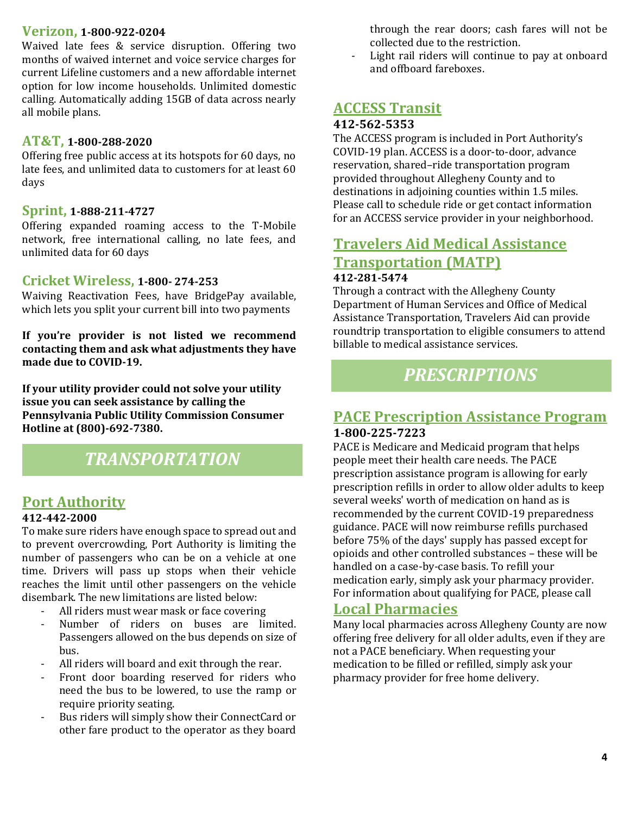### **Verizon, 1-800-922-0204**

Waived late fees & service disruption. Offering two months of waived internet and voice service charges for current Lifeline customers and a new affordable internet option for low income households. Unlimited domestic calling. Automatically adding 15GB of data across nearly all mobile plans.

### **AT&T, 1-800-288-2020**

Offering free public access at its hotspots for 60 days, no late fees, and unlimited data to customers for at least 60 days

### **Sprint, 1-888-211-4727**

Offering expanded roaming access to the T-Mobile network, free international calling, no late fees, and unlimited data for 60 days

### **Cricket Wireless, 1-800- 274-253**

Waiving Reactivation Fees, have BridgePay available, which lets you split your current bill into two payments

**If you're provider is not listed we recommend contacting them and ask what adjustments they have made due to COVID-19.**

**If your utility provider could not solve your utility issue you can seek assistance by calling the Pennsylvania Public Utility Commission Consumer Hotline at (800)-692-7380.**

# *TRANSPORTATION*

# **Port Authority**

#### **412-442-2000**

To make sure riders have enough space to spread out and to prevent overcrowding, Port Authority is limiting the number of passengers who can be on a vehicle at one time. Drivers will pass up stops when their vehicle reaches the limit until other passengers on the vehicle disembark. The new limitations are listed below:

- All riders must wear mask or face covering
- Number of riders on buses are limited. Passengers allowed on the bus depends on size of bus.
- All riders will board and exit through the rear.
- Front door boarding reserved for riders who need the bus to be lowered, to use the ramp or require priority seating.
- Bus riders will simply show their ConnectCard or other fare product to the operator as they board

through the rear doors; cash fares will not be collected due to the restriction.

Light rail riders will continue to pay at onboard and offboard fareboxes.

## **ACCESS Transit**

### **412-562-5353**

The ACCESS program is included in Port Authority's COVID-19 plan. ACCESS is a door-to-door, advance reservation, shared–ride transportation program provided throughout Allegheny County and to destinations in adjoining counties within 1.5 miles. Please call to schedule ride or get contact information for an ACCESS service provider in your neighborhood.

## **Travelers Aid Medical Assistance Transportation (MATP) 412-281-5474**

Through a contract with the Allegheny County Department of Human Services and Office of Medical Assistance Transportation, Travelers Aid can provide roundtrip transportation to eligible consumers to attend billable to medical assistance services.

# *PRESCRIPTIONS*

## **PACE Prescription Assistance Program 1-800-225-7223**

PACE is Medicare and Medicaid program that helps people meet their health care needs. The PACE prescription assistance program is allowing for early prescription refills in order to allow older adults to keep several weeks' worth of medication on hand as is recommended by the current COVID-19 preparedness guidance. PACE will now reimburse refills purchased before 75% of the days' supply has passed except for opioids and other controlled substances – these will be handled on a case-by-case basis. To refill your medication early, simply ask your pharmacy provider. For information about qualifying for PACE, please call

## **Local Pharmacies**

Many local pharmacies across Allegheny County are now offering free delivery for all older adults, even if they are not a PACE beneficiary. When requesting your medication to be filled or refilled, simply ask your pharmacy provider for free home delivery.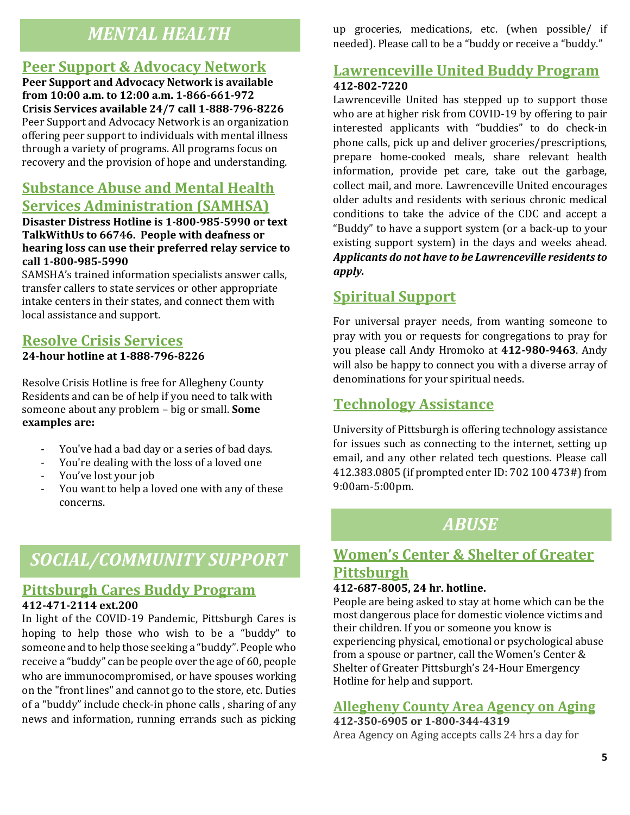# *MENTAL HEALTH*

## **Peer Support & Advocacy Network**

**Peer Support and Advocacy Network is available from 10:00 a.m. to 12:00 a.m. 1-866-661-972 Crisis Services available 24/7 call 1-888-796-8226** Peer Support and Advocacy Network is an organization offering peer support to individuals with mental illness through a variety of programs. All programs focus on recovery and the provision of hope and understanding.

# **Substance Abuse and Mental Health Services Administration (SAMHSA)**

**Disaster Distress Hotline is 1-800-985-5990 or text TalkWithUs to 66746. People with deafness or hearing loss can use their preferred relay service to call 1-800-985-5990**

SAMSHA's trained information specialists answer calls, transfer callers to state services or other appropriate intake centers in their states, and connect them with local assistance and support.

## **Resolve Crisis Services**

**24-hour hotline at 1-888-796-8226**

Resolve Crisis Hotline is free for Allegheny County Residents and can be of help if you need to talk with someone about any problem – big or small. **Some examples are:**

- You've had a bad day or a series of bad days.
- You're dealing with the loss of a loved one
- You've lost your job
- You want to help a loved one with any of these concerns.

# *SOCIAL/COMMUNITY SUPPORT*

# **Pittsburgh Cares Buddy Program**

### **412-471-2114 ext.200**

In light of the COVID-19 Pandemic, Pittsburgh Cares is hoping to help those who wish to be a "buddy" to someone and to help those seeking a "buddy". People who receive a "buddy" can be people over the age of 60, people who are immunocompromised, or have spouses working on the "front lines" and cannot go to the store, etc. Duties of a "buddy" include check-in phone calls , sharing of any news and information, running errands such as picking

up groceries, medications, etc. (when possible/ if needed). Please call to be a "buddy or receive a "buddy."

## **Lawrenceville United Buddy Program 412-802-7220**

Lawrenceville United has stepped up to support those who are at higher risk from COVID-19 by offering to pair interested applicants with "buddies" to do check-in phone calls, pick up and deliver groceries/prescriptions, prepare home-cooked meals, share relevant health information, provide pet care, take out the garbage, collect mail, and more. Lawrenceville United encourages older adults and residents with serious chronic medical conditions to take the advice of the CDC and accept a "Buddy" to have a support system (or a back-up to your existing support system) in the days and weeks ahead. *Applicants do not have to be Lawrenceville residents to apply.* 

# **Spiritual Support**

For universal prayer needs, from wanting someone to pray with you or requests for congregations to pray for you please call Andy Hromoko at **412-980-9463**. Andy will also be happy to connect you with a diverse array of denominations for your spiritual needs.

# **Technology Assistance**

University of Pittsburgh is offering technology assistance for issues such as connecting to the internet, setting up email, and any other related tech questions. Please call 412.383.0805 (if prompted enter ID: 702 100 473#) from 9:00am-5:00pm.

# *ABUSE*

# **Women's Center & Shelter of Greater Pittsburgh**

#### **412-687-8005, 24 hr. hotline.**

People are being asked to stay at home which can be the most dangerous place for domestic violence victims and their children. If you or someone you know is experiencing physical, emotional or psychological abuse from a spouse or partner, call the Women's Center & Shelter of Greater Pittsburgh's 24-Hour Emergency Hotline for help and support.

## **Allegheny County Area Agency on Aging**

**412-350-6905 or 1-800-344-4319**  Area Agency on Aging accepts calls 24 hrs a day for